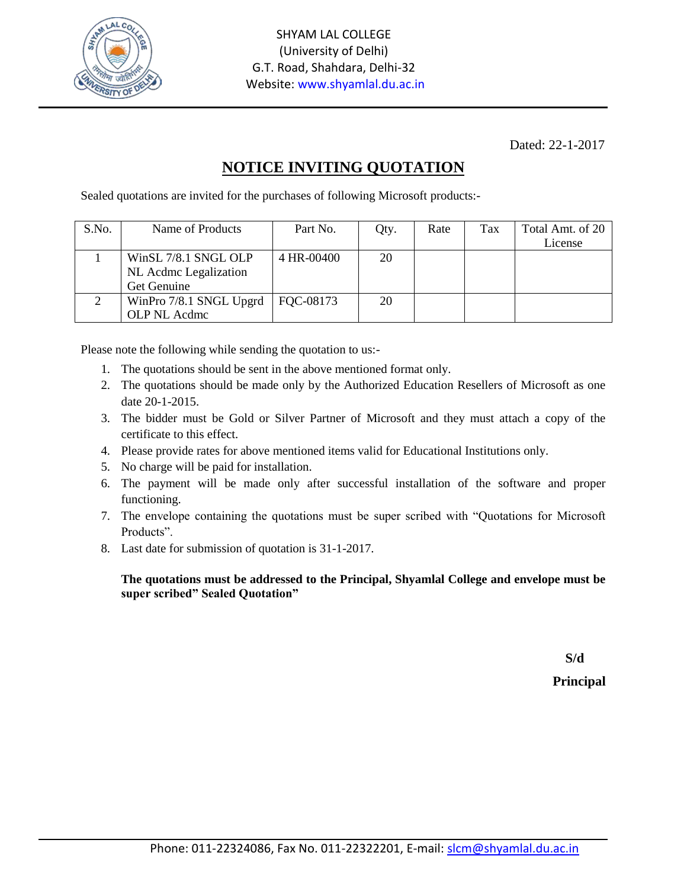

Dated: 22-1-2017

## **NOTICE INVITING QUOTATION**

Sealed quotations are invited for the purchases of following Microsoft products:-

| S.No. | Name of Products        | Part No.   | Qty. | Rate | Tax | Total Amt. of 20 |
|-------|-------------------------|------------|------|------|-----|------------------|
|       |                         |            |      |      |     | License          |
|       | WinSL 7/8.1 SNGL OLP    | 4 HR-00400 | 20   |      |     |                  |
|       | NL Acdmc Legalization   |            |      |      |     |                  |
|       | Get Genuine             |            |      |      |     |                  |
|       | WinPro 7/8.1 SNGL Upgrd | FQC-08173  | 20   |      |     |                  |
|       | OLP NL Acdmc            |            |      |      |     |                  |

Please note the following while sending the quotation to us:-

- 1. The quotations should be sent in the above mentioned format only.
- 2. The quotations should be made only by the Authorized Education Resellers of Microsoft as one date 20-1-2015.
- 3. The bidder must be Gold or Silver Partner of Microsoft and they must attach a copy of the certificate to this effect.
- 4. Please provide rates for above mentioned items valid for Educational Institutions only.
- 5. No charge will be paid for installation.
- 6. The payment will be made only after successful installation of the software and proper functioning.
- 7. The envelope containing the quotations must be super scribed with "Quotations for Microsoft Products".
- 8. Last date for submission of quotation is 31-1-2017.

## **The quotations must be addressed to the Principal, Shyamlal College and envelope must be super scribed" Sealed Quotation"**

**S/d**

**Principal**